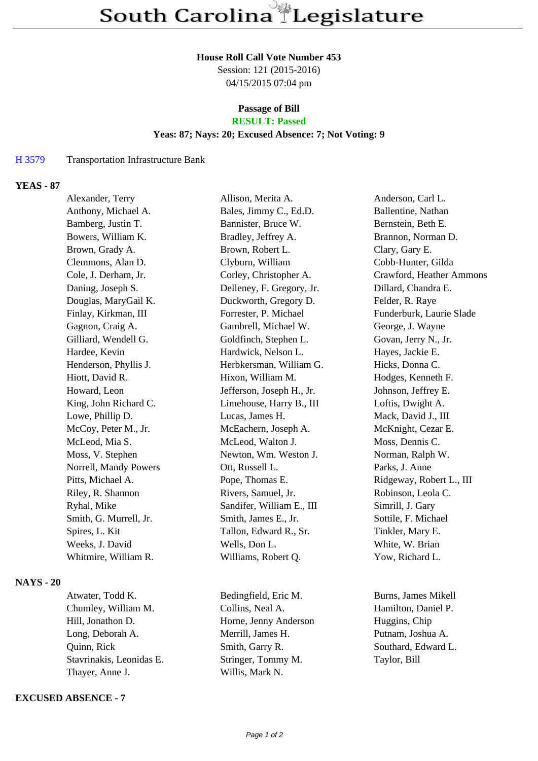#### **House Roll Call Vote Number 453**

Session: 121 (2015-2016) 04/15/2015 07:04 pm

### **Passage of Bill RESULT: Passed**

## **Yeas: 87; Nays: 20; Excused Absence: 7; Not Voting: 9**

#### H 3579 Transportation Infrastructure Bank

## **YEAS - 87**

| Alexander, Terry       | Allison, Merita A.        | Anderson, Carl L.        |
|------------------------|---------------------------|--------------------------|
| Anthony, Michael A.    | Bales, Jimmy C., Ed.D.    | Ballentine, Nathan       |
| Bamberg, Justin T.     | Bannister, Bruce W.       | Bernstein, Beth E.       |
| Bowers, William K.     | Bradley, Jeffrey A.       | Brannon, Norman D.       |
| Brown, Grady A.        | Brown, Robert L.          | Clary, Gary E.           |
| Clemmons, Alan D.      | Clyburn, William          | Cobb-Hunter, Gilda       |
| Cole, J. Derham, Jr.   | Corley, Christopher A.    | Crawford, Heather Ammons |
| Daning, Joseph S.      | Delleney, F. Gregory, Jr. | Dillard, Chandra E.      |
| Douglas, MaryGail K.   | Duckworth, Gregory D.     | Felder, R. Raye          |
| Finlay, Kirkman, III   | Forrester, P. Michael     | Funderburk, Laurie Slade |
| Gagnon, Craig A.       | Gambrell, Michael W.      | George, J. Wayne         |
| Gilliard, Wendell G.   | Goldfinch, Stephen L.     | Govan, Jerry N., Jr.     |
| Hardee, Kevin          | Hardwick, Nelson L.       | Hayes, Jackie E.         |
| Henderson, Phyllis J.  | Herbkersman, William G.   | Hicks, Donna C.          |
| Hiott, David R.        | Hixon, William M.         | Hodges, Kenneth F.       |
| Howard, Leon           | Jefferson, Joseph H., Jr. | Johnson, Jeffrey E.      |
| King, John Richard C.  | Limehouse, Harry B., III  | Loftis, Dwight A.        |
| Lowe, Phillip D.       | Lucas, James H.           | Mack, David J., III      |
| McCoy, Peter M., Jr.   | McEachern, Joseph A.      | McKnight, Cezar E.       |
| McLeod, Mia S.         | McLeod, Walton J.         | Moss, Dennis C.          |
| Moss, V. Stephen       | Newton, Wm. Weston J.     | Norman, Ralph W.         |
| Norrell, Mandy Powers  | Ott, Russell L.           | Parks, J. Anne           |
| Pitts, Michael A.      | Pope, Thomas E.           | Ridgeway, Robert L., III |
| Riley, R. Shannon      | Rivers, Samuel, Jr.       | Robinson, Leola C.       |
| Ryhal, Mike            | Sandifer, William E., III | Simrill, J. Gary         |
| Smith, G. Murrell, Jr. | Smith, James E., Jr.      | Sottile, F. Michael      |
| Spires, L. Kit         | Tallon, Edward R., Sr.    | Tinkler, Mary E.         |
| Weeks, J. David        | Wells, Don L.             | White, W. Brian          |
| Whitmire, William R.   | Williams, Robert Q.       | Yow, Richard L.          |
|                        |                           |                          |

# **NAYS - 20**

Chumley, William M. Collins, Neal A. Hamilton, Daniel P. Hill, Jonathon D. **Horne, Jenny Anderson** Huggins, Chip Long, Deborah A. Merrill, James H. Putnam, Joshua A. Quinn, Rick Smith, Garry R. Southard, Edward L. Stavrinakis, Leonidas E. Stringer, Tommy M. Taylor, Bill Thayer, Anne J. Willis, Mark N.

### **EXCUSED ABSENCE - 7**

Atwater, Todd K. Bedingfield, Eric M. Burns, James Mikell